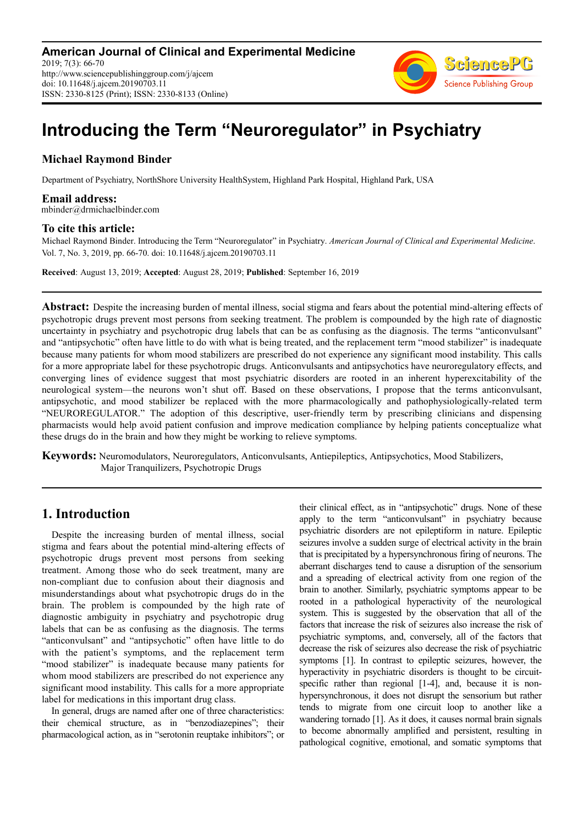

# **Introducing the Term "Neuroregulator" in Psychiatry**

# **Michael Raymond Binder**

Department of Psychiatry, NorthShore University HealthSystem, Highland Park Hospital, Highland Park, USA

**Email address:**<br>mbinder@drmichaelbinder.com

#### **To cite this article:**

Michael Raymond Binder. Introducing the Term "Neuroregulator" in Psychiatry. *American Journal of Clinical and Experimental Medicine*. Vol. 7, No. 3, 2019, pp. 66-70. doi: 10.11648/j.ajcem.20190703.11

**Received**: August 13, 2019; **Accepted**: August 28, 2019; **Published**: September 16, 2019

**Abstract:** Despite the increasing burden of mental illness, social stigma and fears about the potential mind-altering effects of psychotropic drugs prevent most persons from seeking treatment. The problem is compounded by the high rate of diagnostic uncertainty in psychiatry and psychotropic drug labels that can be as confusing as the diagnosis. The terms "anticonvulsant" and "antipsychotic" often have little to do with what is being treated, and the replacement term "mood stabilizer" is inadequate because many patients for whom mood stabilizers are prescribed do not experience any significant mood instability. This calls for a more appropriate label for these psychotropic drugs. Anticonvulsants and antipsychotics have neuroregulatory effects, and converging lines of evidence suggest that most psychiatric disorders are rooted in an inherent hyperexcitability of the neurological system—the neurons won't shut off. Based on these observations, I propose that the terms anticonvulsant, antipsychotic, and mood stabilizer be replaced with the more pharmacologically and pathophysiologically-related term "NEUROREGULATOR." The adoption of this descriptive, user-friendly term by prescribing clinicians and dispensing pharmacists would help avoid patient confusion and improve medication compliance by helping patients conceptualize what these drugs do in the brain and how they might be working to relieve symptoms.

**Keywords:** Neuromodulators, Neuroregulators, Anticonvulsants, Antiepileptics, Antipsychotics, Mood Stabilizers, Major Tranquilizers, Psychotropic Drugs

# **1. Introduction**

Despite the increasing burden of mental illness, social stigma and fears about the potential mind-altering effects of psychotropic drugs prevent most persons from seeking treatment. Among those who do seek treatment, many are non-compliant due to confusion about their diagnosis and misunderstandings about what psychotropic drugs do in the brain. The problem is compounded by the high rate of diagnostic ambiguity in psychiatry and psychotropic drug labels that can be as confusing as the diagnosis. The terms "anticonvulsant" and "antipsychotic" often have little to do with the patient's symptoms, and the replacement term "mood stabilizer" is inadequate because many patients for whom mood stabilizers are prescribed do not experience any significant mood instability. This calls for a more appropriate label for medications in this important drug class.

In general, drugs are named after one of three characteristics: their chemical structure, as in "benzodiazepines"; their pharmacological action, as in "serotonin reuptake inhibitors"; or their clinical effect, as in "antipsychotic" drugs. None of these apply to the term "anticonvulsant" in psychiatry because psychiatric disorders are not epileptiform in nature. Epileptic seizures involve a sudden surge of electrical activity in the brain that is precipitated by a hypersynchronous firing of neurons. The aberrant discharges tend to cause a disruption of the sensorium and a spreading of electrical activity from one region of the brain to another. Similarly, psychiatric symptoms appear to be rooted in a pathological hyperactivity of the neurological system. This is suggested by the observation that all of the factors that increase the risk of seizures also increase the risk of psychiatric symptoms, and, conversely, all of the factors that decrease the risk of seizures also decrease the risk of psychiatric symptoms [1]. In contrast to epileptic seizures, however, the hyperactivity in psychiatric disorders is thought to be circuitspecific rather than regional [1-4], and, because it is nonhypersynchronous, it does not disrupt the sensorium but rather tends to migrate from one circuit loop to another like a wandering tornado [1]. As it does, it causes normal brain signals to become abnormally amplified and persistent, resulting in pathological cognitive, emotional, and somatic symptoms that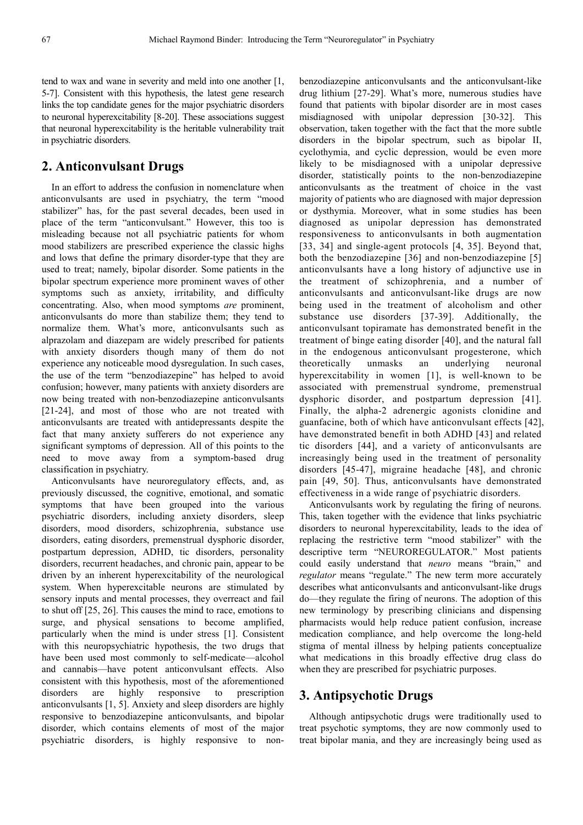tend to wax and wane in severity and meld into one another [1, 5-7]. Consistent with this hypothesis, the latest gene research links the top candidate genes for the major psychiatric disorders to neuronal hyperexcitability [8-20]. These associations suggest that neuronal hyperexcitability is the heritable vulnerability trait in psychiatric disorders.

# **2. Anticonvulsant Drugs**

In an effort to address the confusion in nomenclature when anticonvulsants are used in psychiatry, the term "mood stabilizer" has, for the past several decades, been used in place of the term "anticonvulsant." However, this too is misleading because not all psychiatric patients for whom mood stabilizers are prescribed experience the classic highs and lows that define the primary disorder-type that they are used to treat; namely, bipolar disorder. Some patients in the bipolar spectrum experience more prominent waves of other symptoms such as anxiety, irritability, and difficulty concentrating. Also, when mood symptoms *are* prominent, anticonvulsants do more than stabilize them; they tend to normalize them. What's more, anticonvulsants such as alprazolam and diazepam are widely prescribed for patients with anxiety disorders though many of them do not experience any noticeable mood dysregulation. In such cases, the use of the term "benzodiazepine" has helped to avoid confusion; however, many patients with anxiety disorders are now being treated with non-benzodiazepine anticonvulsants [21-24], and most of those who are not treated with anticonvulsants are treated with antidepressants despite the fact that many anxiety sufferers do not experience any significant symptoms of depression. All of this points to the need to move away from a symptom-based drug classification in psychiatry.

Anticonvulsants have neuroregulatory effects, and, as previously discussed, the cognitive, emotional, and somatic symptoms that have been grouped into the various psychiatric disorders, including anxiety disorders, sleep disorders, mood disorders, schizophrenia, substance use disorders, eating disorders, premenstrual dysphoric disorder, postpartum depression, ADHD, tic disorders, personality disorders, recurrent headaches, and chronic pain, appear to be driven by an inherent hyperexcitability of the neurological system. When hyperexcitable neurons are stimulated by sensory inputs and mental processes, they overreact and fail to shut off [25, 26]. This causes the mind to race, emotions to surge, and physical sensations to become amplified, particularly when the mind is under stress [1]. Consistent with this neuropsychiatric hypothesis, the two drugs that have been used most commonly to self-medicate—alcohol and cannabis—have potent anticonvulsant effects. Also consistent with this hypothesis, most of the aforementioned disorders are highly responsive to prescription anticonvulsants [1, 5]. Anxiety and sleep disorders are highly responsive to benzodiazepine anticonvulsants, and bipolar disorder, which contains elements of most of the major psychiatric disorders, is highly responsive to nonbenzodiazepine anticonvulsants and the anticonvulsant-like drug lithium [27-29]. What's more, numerous studies have found that patients with bipolar disorder are in most cases misdiagnosed with unipolar depression [30-32]. This observation, taken together with the fact that the more subtle disorders in the bipolar spectrum, such as bipolar II, cyclothymia, and cyclic depression, would be even more likely to be misdiagnosed with a unipolar depressive disorder, statistically points to the non-benzodiazepine anticonvulsants as the treatment of choice in the vast majority of patients who are diagnosed with major depression or dysthymia. Moreover, what in some studies has been diagnosed as unipolar depression has demonstrated responsiveness to anticonvulsants in both augmentation [33, 34] and single-agent protocols [4, 35]. Beyond that, both the benzodiazepine [36] and non-benzodiazepine [5] anticonvulsants have a long history of adjunctive use in the treatment of schizophrenia, and a number of anticonvulsants and anticonvulsant-like drugs are now being used in the treatment of alcoholism and other substance use disorders [37-39]. Additionally, the anticonvulsant topiramate has demonstrated benefit in the treatment of binge eating disorder [40], and the natural fall in the endogenous anticonvulsant progesterone, which theoretically unmasks an underlying neuronal hyperexcitability in women [1], is well-known to be associated with premenstrual syndrome, premenstrual dysphoric disorder, and postpartum depression [41]. Finally, the alpha-2 adrenergic agonists clonidine and guanfacine, both of which have anticonvulsant effects [42], have demonstrated benefit in both ADHD [43] and related tic disorders [44], and a variety of anticonvulsants are increasingly being used in the treatment of personality disorders [45-47], migraine headache [48], and chronic pain [49, 50]. Thus, anticonvulsants have demonstrated effectiveness in a wide range of psychiatric disorders.

Anticonvulsants work by regulating the firing of neurons. This, taken together with the evidence that links psychiatric disorders to neuronal hyperexcitability, leads to the idea of replacing the restrictive term "mood stabilizer" with the descriptive term "NEUROREGULATOR." Most patients could easily understand that *neuro* means "brain," and *regulator* means "regulate." The new term more accurately describes what anticonvulsants and anticonvulsant-like drugs do—they regulate the firing of neurons. The adoption of this new terminology by prescribing clinicians and dispensing pharmacists would help reduce patient confusion, increase medication compliance, and help overcome the long-held stigma of mental illness by helping patients conceptualize what medications in this broadly effective drug class do when they are prescribed for psychiatric purposes.

# **3. Antipsychotic Drugs**

Although antipsychotic drugs were traditionally used to treat psychotic symptoms, they are now commonly used to treat bipolar mania, and they are increasingly being used as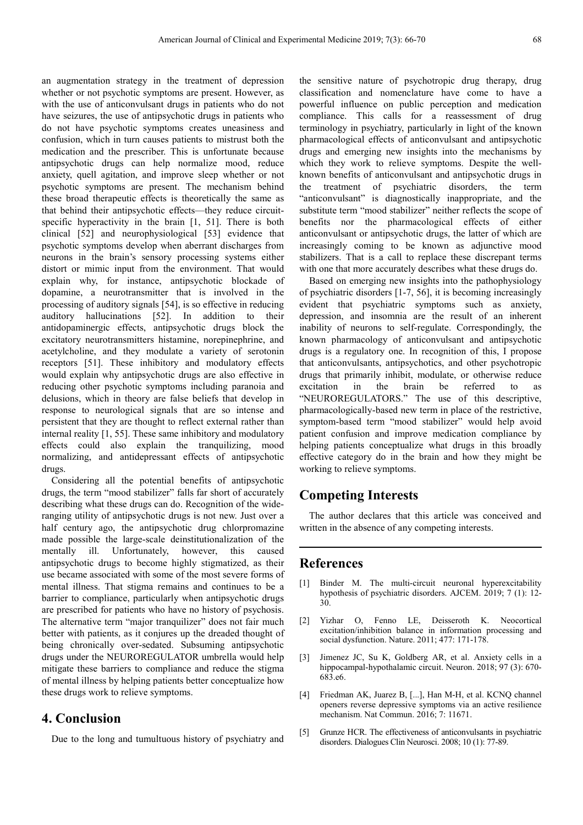an augmentation strategy in the treatment of depression whether or not psychotic symptoms are present. However, as with the use of anticonvulsant drugs in patients who do not have seizures, the use of antipsychotic drugs in patients who do not have psychotic symptoms creates uneasiness and confusion, which in turn causes patients to mistrust both the medication and the prescriber. This is unfortunate because antipsychotic drugs can help normalize mood, reduce anxiety, quell agitation, and improve sleep whether or not psychotic symptoms are present. The mechanism behind these broad therapeutic effects is theoretically the same as that behind their antipsychotic effects—they reduce circuitspecific hyperactivity in the brain [1, 51]. There is both clinical [52] and neurophysiological [53] evidence that psychotic symptoms develop when aberrant discharges from neurons in the brain's sensory processing systems either distort or mimic input from the environment. That would explain why, for instance, antipsychotic blockade of dopamine, a neurotransmitter that is involved in the processing of auditory signals [54], is so effective in reducing auditory hallucinations [52]. In addition to their antidopaminergic effects, antipsychotic drugs block the excitatory neurotransmitters histamine, norepinephrine, and acetylcholine, and they modulate a variety of serotonin receptors [51]. These inhibitory and modulatory effects would explain why antipsychotic drugs are also effective in reducing other psychotic symptoms including paranoia and delusions, which in theory are false beliefs that develop in response to neurological signals that are so intense and persistent that they are thought to reflect external rather than internal reality [1, 55]. These same inhibitory and modulatory effects could also explain the tranquilizing, mood normalizing, and antidepressant effects of antipsychotic drugs.

Considering all the potential benefits of antipsychotic drugs, the term "mood stabilizer" falls far short of accurately describing what these drugs can do. Recognition of the wideranging utility of antipsychotic drugs is not new. Just over a half century ago, the antipsychotic drug chlorpromazine made possible the large-scale deinstitutionalization of the mentally ill. Unfortunately, however, this caused antipsychotic drugs to become highly stigmatized, as their use became associated with some of the most severe forms of mental illness. That stigma remains and continues to be a barrier to compliance, particularly when antipsychotic drugs are prescribed for patients who have no history of psychosis. The alternative term "major tranquilizer" does not fair much better with patients, as it conjures up the dreaded thought of being chronically over-sedated. Subsuming antipsychotic drugs under the NEUROREGULATOR umbrella would help mitigate these barriers to compliance and reduce the stigma of mental illness by helping patients better conceptualize how these drugs work to relieve symptoms.

#### **4. Conclusion**

Due to the long and tumultuous history of psychiatry and

the sensitive nature of psychotropic drug therapy, drug classification and nomenclature have come to have a powerful influence on public perception and medication compliance. This calls for a reassessment of drug terminology in psychiatry, particularly in light of the known pharmacological effects of anticonvulsant and antipsychotic drugs and emerging new insights into the mechanisms by which they work to relieve symptoms. Despite the wellknown benefits of anticonvulsant and antipsychotic drugs in the treatment of psychiatric disorders, the term "anticonvulsant" is diagnostically inappropriate, and the substitute term "mood stabilizer" neither reflects the scope of benefits nor the pharmacological effects of either anticonvulsant or antipsychotic drugs, the latter of which are increasingly coming to be known as adjunctive mood stabilizers. That is a call to replace these discrepant terms with one that more accurately describes what these drugs do.

Based on emerging new insights into the pathophysiology of psychiatric disorders [1-7, 56], it is becoming increasingly evident that psychiatric symptoms such as anxiety, depression, and insomnia are the result of an inherent inability of neurons to self-regulate. Correspondingly, the known pharmacology of anticonvulsant and antipsychotic drugs is a regulatory one. In recognition of this, I propose that anticonvulsants, antipsychotics, and other psychotropic drugs that primarily inhibit, modulate, or otherwise reduce excitation in the brain be referred to "NEUROREGULATORS." The use of this descriptive, pharmacologically-based new term in place of the restrictive, symptom-based term "mood stabilizer" would help avoid patient confusion and improve medication compliance by helping patients conceptualize what drugs in this broadly effective category do in the brain and how they might be working to relieve symptoms.

### **Competing Interests**

The author declares that this article was conceived and written in the absence of any competing interests.

#### **References**

- [1] Binder M. The multi-circuit neuronal hyperexcitability hypothesis of psychiatric disorders. AJCEM. 2019; 7 (1): 12- 30.
- [2] Yizhar O, Fenno LE, Deisseroth K. Neocortical excitation/inhibition balance in information processing and social dysfunction. Nature. 2011; 477: 171-178.
- [3] Jimenez JC, Su K, Goldberg AR, et al. Anxiety cells in a hippocampal-hypothalamic circuit. Neuron. 2018; 97 (3): 670-683.e6.
- [4] Friedman AK, Juarez B, [...], Han M-H, et al. KCNQ channel openers reverse depressive symptoms via an active resilience mechanism. Nat Commun. 2016; 7: 11671.
- [5] Grunze HCR. The effectiveness of anticonvulsants in psychiatric disorders. Dialogues Clin Neurosci. 2008; 10 (1): 77-89.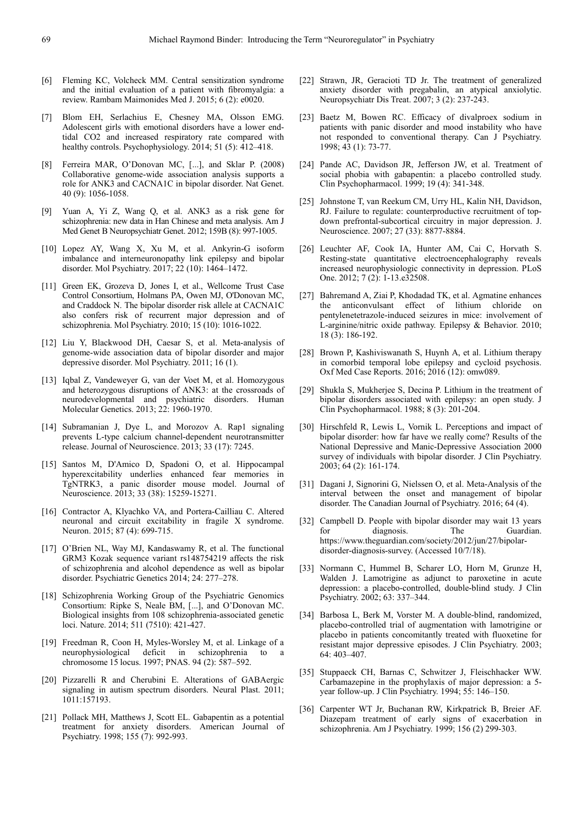- [6] Fleming KC, Volcheck MM. Central sensitization syndrome and the initial evaluation of a patient with fibromyalgia: a review. Rambam Maimonides Med J. 2015; 6 (2): e0020.
- [7] Blom EH, Serlachius E, Chesney MA, Olsson EMG. Adolescent girls with emotional disorders have a lower endtidal CO2 and increased respiratory rate compared with healthy controls. Psychophysiology. 2014; 51 (5): 412–418.
- [8] Ferreira MAR, O'Donovan MC, [...], and Sklar P. (2008) Collaborative genome-wide association analysis supports a role for ANK3 and CACNA1C in bipolar disorder. Nat Genet. 40 (9): 1056-1058.
- [9] Yuan A, Yi Z, Wang Q, et al. ANK3 as a risk gene for schizophrenia: new data in Han Chinese and meta analysis. Am J Med Genet B Neuropsychiatr Genet. 2012; 159B (8): 997-1005.
- [10] Lopez AY, Wang X, Xu M, et al. Ankyrin-G isoform imbalance and interneuronopathy link epilepsy and bipolar disorder. Mol Psychiatry. 2017; 22 (10): 1464–1472.
- [11] Green EK, Grozeva D, Jones I, et al., Wellcome Trust Case Control Consortium, Holmans PA, Owen MJ, O'Donovan MC, and Craddock N. The bipolar disorder risk allele at CACNA1C also confers risk of recurrent major depression and of schizophrenia. Mol Psychiatry. 2010; 15 (10): 1016-1022.
- [12] Liu Y, Blackwood DH, Caesar S, et al. Meta-analysis of genome-wide association data of bipolar disorder and major depressive disorder. Mol Psychiatry. 2011; 16 (1).
- [13] Iqbal Z, Vandeweyer G, van der Voet M, et al. Homozygous and heterozygous disruptions of ANK3: at the crossroads of neurodevelopmental and psychiatric disorders. Human Molecular Genetics. 2013; 22: 1960-1970.
- [14] Subramanian J, Dye L, and Morozov A. Rap1 signaling prevents L-type calcium channel-dependent neurotransmitter release. Journal of Neuroscience. 2013; 33 (17): 7245.
- [15] Santos M, D'Amico D, Spadoni O, et al. Hippocampal hyperexcitability underlies enhanced fear memories in TgNTRK3, a panic disorder mouse model. Journal of Neuroscience. 2013; 33 (38): 15259-15271.
- [16] Contractor A, Klyachko VA, and Portera-Cailliau C. Altered neuronal and circuit excitability in fragile X syndrome. Neuron. 2015; 87 (4): 699-715.
- [17] O'Brien NL, Way MJ, Kandaswamy R, et al. The functional GRM3 Kozak sequence variant rs148754219 affects the risk of schizophrenia and alcohol dependence as well as bipolar disorder. Psychiatric Genetics 2014; 24: 277–278.
- [18] Schizophrenia Working Group of the Psychiatric Genomics Consortium: Ripke S, Neale BM, [...], and O'Donovan MC. Biological insights from 108 schizophrenia-associated genetic loci. Nature. 2014; 511 (7510): 421-427.
- [19] Freedman R, Coon H, Myles-Worsley M, et al. Linkage of a neurophysiological deficit in schizophrenia to a chromosome 15 locus. 1997; PNAS. 94 (2): 587–592.
- [20] Pizzarelli R and Cherubini E. Alterations of GABAergic signaling in autism spectrum disorders. Neural Plast. 2011; 1011:157193.
- [21] Pollack MH, Matthews J, Scott EL. Gabapentin as a potential treatment for anxiety disorders. American Journal of Psychiatry. 1998; 155 (7): 992-993.
- [22] Strawn, JR, Geracioti TD Jr. The treatment of generalized anxiety disorder with pregabalin, an atypical anxiolytic. Neuropsychiatr Dis Treat. 2007; 3 (2): 237-243.
- [23] Baetz M, Bowen RC. Efficacy of divalproex sodium in patients with panic disorder and mood instability who have not responded to conventional therapy. Can J Psychiatry. 1998; 43 (1): 73-77.
- [24] Pande AC, Davidson JR, Jefferson JW, et al. Treatment of social phobia with gabapentin: a placebo controlled study. Clin Psychopharmacol. 1999; 19 (4): 341-348.
- [25] Johnstone T, van Reekum CM, Urry HL, Kalin NH, Davidson, RJ. Failure to regulate: counterproductive recruitment of topdown prefrontal-subcortical circuitry in major depression. J. Neuroscience. 2007; 27 (33): 8877-8884.
- [26] Leuchter AF, Cook IA, Hunter AM, Cai C, Horvath S. Resting-state quantitative electroencephalography reveals increased neurophysiologic connectivity in depression. PLoS One. 2012; 7 (2): 1-13.e32508.
- [27] Bahremand A, Ziai P, Khodadad TK, et al. Agmatine enhances the anticonvulsant effect of lithium chloride on pentylenetetrazole-induced seizures in mice: involvement of L-arginine/nitric oxide pathway. Epilepsy & Behavior. 2010; 18 (3): 186-192.
- [28] Brown P, Kashiviswanath S, Huynh A, et al. Lithium therapy in comorbid temporal lobe epilepsy and cycloid psychosis. Oxf Med Case Reports. 2016; 2016 (12): omw089.
- [29] Shukla S, Mukherjee S, Decina P. Lithium in the treatment of bipolar disorders associated with epilepsy: an open study. J Clin Psychopharmacol. 1988; 8 (3): 201-204.
- [30] Hirschfeld R, Lewis L, Vornik L, Perceptions and impact of bipolar disorder: how far have we really come? Results of the National Depressive and Manic-Depressive Association 2000 survey of individuals with bipolar disorder. J Clin Psychiatry. 2003; 64 (2): 161-174.
- [31] Dagani J, Signorini G, Nielssen O, et al. Meta-Analysis of the interval between the onset and management of bipolar disorder. The Canadian Journal of Psychiatry. 2016; 64 (4).
- [32] Campbell D. People with bipolar disorder may wait 13 years for diagnosis. The Guardian. for diagnosis. The https://www.theguardian.com/society/2012/jun/27/bipolardisorder-diagnosis-survey. (Accessed 10/7/18).
- [33] Normann C, Hummel B, Scharer LO, Horn M, Grunze H, Walden J. Lamotrigine as adjunct to paroxetine in acute depression: a placebo-controlled, double-blind study. J Clin Psychiatry. 2002; 63: 337–344.
- [34] Barbosa L, Berk M, Vorster M. A double-blind, randomized, placebo-controlled trial of augmentation with lamotrigine or placebo in patients concomitantly treated with fluoxetine for resistant major depressive episodes. J Clin Psychiatry. 2003; 64: 403–407.
- [35] Stuppaeck CH, Barnas C, Schwitzer J, Fleischhacker WW. Carbamazepine in the prophylaxis of major depression: a 5 year follow-up. J Clin Psychiatry. 1994; 55: 146–150.
- [36] Carpenter WT Jr, Buchanan RW, Kirkpatrick B, Breier AF. Diazepam treatment of early signs of exacerbation in schizophrenia. Am J Psychiatry. 1999; 156 (2) 299-303.